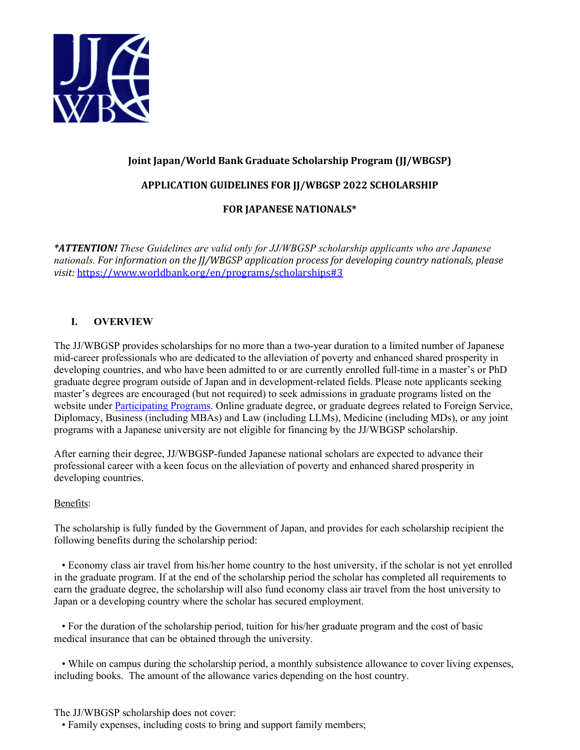

# **Joint Japan/World Bank Graduate Scholarship Program (JJ/WBGSP)**

### **APPLICATION GUIDELINES FOR JJ/WBGSP 2022 SCHOLARSHIP**

### **FOR JAPANESE NATIONALS\***

*\*ATTENTION! These Guidelines are valid only for JJ/WBGSP scholarship applicants who are Japanese nationals. For information on the JJ/WBGSP application process for developing country nationals, please visit:* <https://www.worldbank.org/en/programs/scholarships#3>

### **I. OVERVIEW**

The JJ/WBGSP provides scholarships for no more than a two-year duration to a limited number of Japanese mid-career professionals who are dedicated to the alleviation of poverty and enhanced shared prosperity in developing countries, and who have been admitted to or are currently enrolled full-time in a master's or PhD graduate degree program outside of Japan and in development-related fields. Please note applicants seeking master's degrees are encouraged (but not required) to seek admissions in graduate programs listed on the website under [Participating Programs.](https://www.worldbank.org/en/programs/scholarships/brief/jjwbgsp-participating-programs) Online graduate degree, or graduate degrees related to Foreign Service, Diplomacy, Business (including MBAs) and Law (including LLMs), Medicine (including MDs), or any joint programs with a Japanese university are not eligible for financing by the JJ/WBGSP scholarship.

After earning their degree, JJ/WBGSP-funded Japanese national scholars are expected to advance their professional career with a keen focus on the alleviation of poverty and enhanced shared prosperity in developing countries.

#### Benefits:

The scholarship is fully funded by the Government of Japan, and provides for each scholarship recipient the following benefits during the scholarship period:

 • Economy class air travel from his/her home country to the host university, if the scholar is not yet enrolled in the graduate program. If at the end of the scholarship period the scholar has completed all requirements to earn the graduate degree, the scholarship will also fund economy class air travel from the host university to Japan or a developing country where the scholar has secured employment.

 • For the duration of the scholarship period, tuition for his/her graduate program and the cost of basic medical insurance that can be obtained through the university.

 • While on campus during the scholarship period, a monthly subsistence allowance to cover living expenses, including books. The amount of the allowance varies depending on the host country.

The JJ/WBGSP scholarship does not cover:

• Family expenses, including costs to bring and support family members;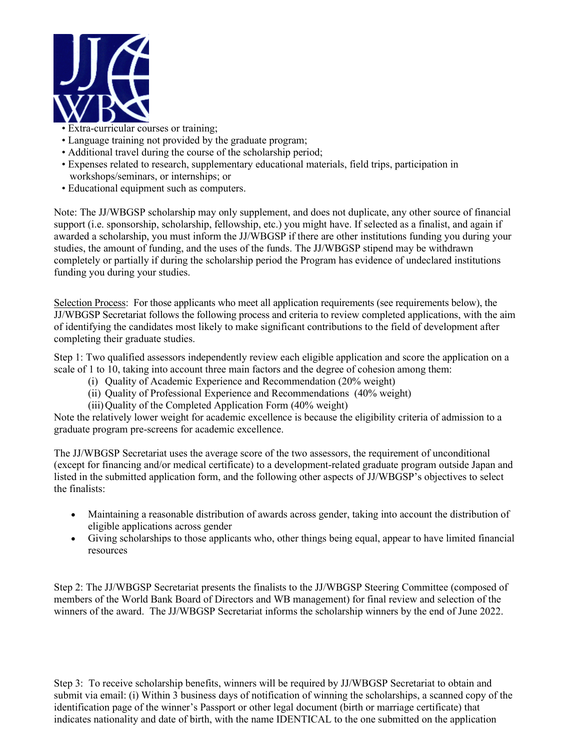

- Extra-curricular courses or training;
- Language training not provided by the graduate program;
- Additional travel during the course of the scholarship period;
- Expenses related to research, supplementary educational materials, field trips, participation in workshops/seminars, or internships; or
- Educational equipment such as computers.

Note: The JJ/WBGSP scholarship may only supplement, and does not duplicate, any other source of financial support (i.e. sponsorship, scholarship, fellowship, etc.) you might have. If selected as a finalist, and again if awarded a scholarship, you must inform the JJ/WBGSP if there are other institutions funding you during your studies, the amount of funding, and the uses of the funds. The JJ/WBGSP stipend may be withdrawn completely or partially if during the scholarship period the Program has evidence of undeclared institutions funding you during your studies.

Selection Process: For those applicants who meet all application requirements (see requirements below), the JJ/WBGSP Secretariat follows the following process and criteria to review completed applications, with the aim of identifying the candidates most likely to make significant contributions to the field of development after completing their graduate studies.

Step 1: Two qualified assessors independently review each eligible application and score the application on a scale of 1 to 10, taking into account three main factors and the degree of cohesion among them:

- (i) Quality of Academic Experience and Recommendation (20% weight)
- (ii) Quality of Professional Experience and Recommendations (40% weight)
- (iii) Quality of the Completed Application Form (40% weight)

Note the relatively lower weight for academic excellence is because the eligibility criteria of admission to a graduate program pre-screens for academic excellence.

The JJ/WBGSP Secretariat uses the average score of the two assessors, the requirement of unconditional (except for financing and/or medical certificate) to a development-related graduate program outside Japan and listed in the submitted application form, and the following other aspects of JJ/WBGSP's objectives to select the finalists:

- Maintaining a reasonable distribution of awards across gender, taking into account the distribution of eligible applications across gender
- Giving scholarships to those applicants who, other things being equal, appear to have limited financial resources

Step 2: The JJ/WBGSP Secretariat presents the finalists to the JJ/WBGSP Steering Committee (composed of members of the World Bank Board of Directors and WB management) for final review and selection of the winners of the award. The JJ/WBGSP Secretariat informs the scholarship winners by the end of June 2022.

Step 3: To receive scholarship benefits, winners will be required by JJ/WBGSP Secretariat to obtain and submit via email: (i) Within 3 business days of notification of winning the scholarships, a scanned copy of the identification page of the winner's Passport or other legal document (birth or marriage certificate) that indicates nationality and date of birth, with the name IDENTICAL to the one submitted on the application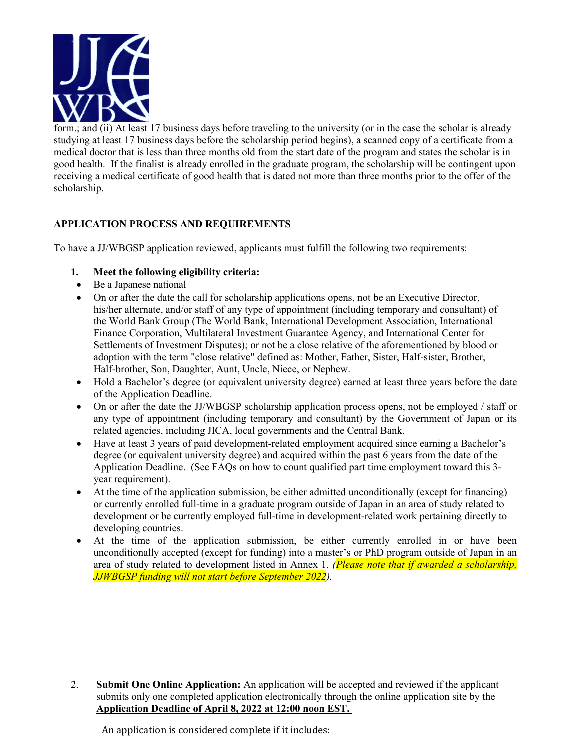

form.; and (ii) At least 17 business days before traveling to the university (or in the case the scholar is already studying at least 17 business days before the scholarship period begins), a scanned copy of a certificate from a medical doctor that is less than three months old from the start date of the program and states the scholar is in good health. If the finalist is already enrolled in the graduate program, the scholarship will be contingent upon receiving a medical certificate of good health that is dated not more than three months prior to the offer of the scholarship.

# **APPLICATION PROCESS AND REQUIREMENTS**

To have a JJ/WBGSP application reviewed, applicants must fulfill the following two requirements:

- **1. Meet the following eligibility criteria:**
- Be a Japanese national
- On or after the date the call for scholarship applications opens, not be an Executive Director, his/her alternate, and/or staff of any type of appointment (including temporary and consultant) of the World Bank Group (The World Bank, International Development Association, International Finance Corporation, Multilateral Investment Guarantee Agency, and International Center for Settlements of Investment Disputes); or not be a close relative of the aforementioned by blood or adoption with the term "close relative" defined as: Mother, Father, Sister, Half-sister, Brother, Half-brother, Son, Daughter, Aunt, Uncle, Niece, or Nephew.
- Hold a Bachelor's degree (or equivalent university degree) earned at least three years before the date of the Application Deadline.
- On or after the date the JJ/WBGSP scholarship application process opens, not be employed / staff or any type of appointment (including temporary and consultant) by the Government of Japan or its related agencies, including JICA, local governments and the Central Bank.
- Have at least 3 years of paid development-related employment acquired since earning a Bachelor's degree (or equivalent university degree) and acquired within the past 6 years from the date of the Application Deadline. (See FAQs on how to count qualified part time employment toward this 3 year requirement).
- At the time of the application submission, be either admitted unconditionally (except for financing) or currently enrolled full-time in a graduate program outside of Japan in an area of study related to development or be currently employed full-time in development-related work pertaining directly to developing countries.
- At the time of the application submission, be either currently enrolled in or have been unconditionally accepted (except for funding) into a master's or PhD program outside of Japan in an area of study related to development listed in Annex 1. *(Please note that if awarded a scholarship, JJWBGSP funding will not start before September 2022).*

2. **Submit One Online Application:** An application will be accepted and reviewed if the applicant submits only one completed application electronically through the online application site by the **Application Deadline of April 8, 2022 at 12:00 noon EST.** 

An application is considered complete if it includes: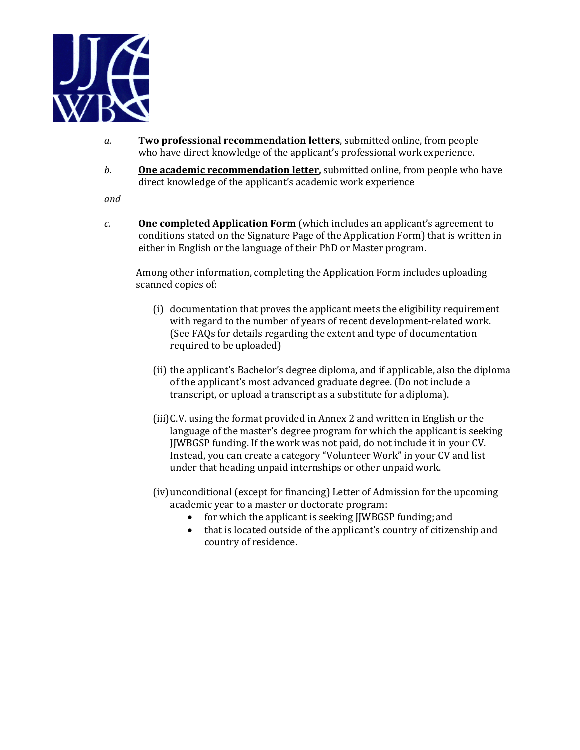

- *a.* **Two professional recommendation letters**, submitted online, from people who have direct knowledge of the applicant's professional work experience.
- *b.* **One academic recommendation letter,** submitted online, from people who have direct knowledge of the applicant's academic work experience

*and*

*c.* **One completed Application Form** (which includes an applicant's agreement to conditions stated on the Signature Page of the Application Form) that is written in either in English or the language of their PhD or Master program.

Among other information, completing the Application Form includes uploading scanned copies of:

- (i) documentation that proves the applicant meets the eligibility requirement with regard to the number of years of recent development-related work. (See FAQs for details regarding the extent and type of documentation required to be uploaded)
- (ii) the applicant's Bachelor's degree diploma, and if applicable, also the diploma of the applicant's most advanced graduate degree. (Do not include a transcript, or upload a transcript as a substitute for adiploma).
- (iii)C.V. using the format provided in Annex 2 and written in English or the language of the master's degree program for which the applicant is seeking JJWBGSP funding. If the work was not paid, do not include it in your CV. Instead, you can create a category "Volunteer Work" in your CV and list under that heading unpaid internships or other unpaid work.
- (iv)unconditional (except for financing) Letter of Admission for the upcoming academic year to a master or doctorate program:
	- for which the applicant is seeking IJWBGSP funding; and
	- that is located outside of the applicant's country of citizenship and country of residence.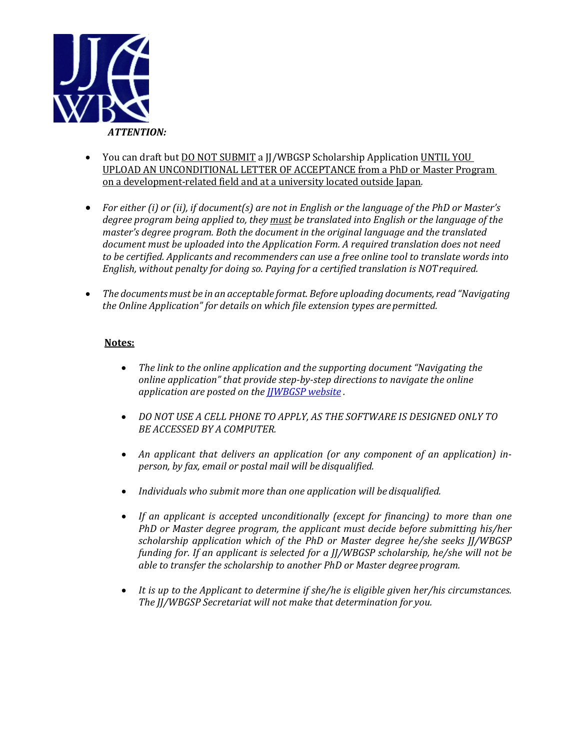

- You can draft but <u>DO NOT SUBMIT</u> a JJ/WBGSP Scholarship Application UNTIL YOU UPLOAD AN UNCONDITIONAL LETTER OF ACCEPTANCE from a PhD or Master Program on a development-related field and at a university located outside Japan*.*
- *For either (i) or (ii), if document(s) are not in English or the language of the PhD or Master's degree program being applied to, they must be translated into English or the language of the master's degree program. Both the document in the original language and the translated document must be uploaded into the Application Form. A required translation does not need to be certified. Applicants and recommenders can use a free online tool to translate words into English, without penalty for doing so. Paying for a certified translation is NOTrequired.*
- *The documentsmust be in an acceptable format. Before uploading documents, read "Navigating the Online Application" for details on which file extension types are permitted.*

### **Notes:**

- *The link to the online application and the supporting document "Navigating the online application" that provide step-by-step directions to navigate the online application are posted on the [JJWBGSP website](https://www.worldbank.org/en/programs/scholarships#4) [.](http://www.worldbankgroup.org/scholarships)*
- *DO NOT USE A CELL PHONE TO APPLY, AS THE SOFTWARE IS DESIGNED ONLY TO BE ACCESSED BY A COMPUTER.*
- *An applicant that delivers an application (or any component of an application) inperson, by fax, email or postal mail will be disqualified.*
- *Individuals who submit more than one application will be disqualified.*
- *If an applicant is accepted unconditionally (except for financing) to more than one PhD or Master degree program, the applicant must decide before submitting his/her scholarship application which of the PhD or Master degree he/she seeks JJ/WBGSP funding for. If an applicant is selected for a JJ/WBGSP scholarship, he/she will not be able to transfer the scholarship to another PhD or Master degree program.*
- *It is up to the Applicant to determine if she/he is eligible given her/his circumstances. The JJ/WBGSP Secretariat will not make that determination for you.*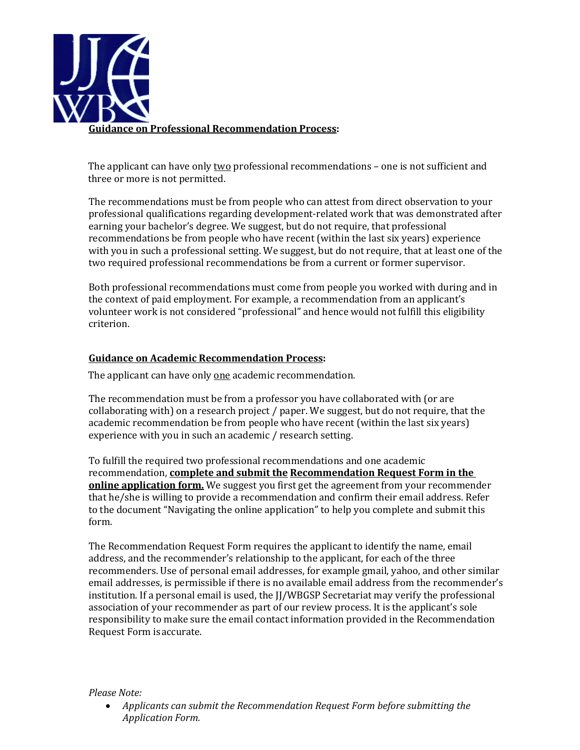

The applicant can have only two professional recommendations - one is not sufficient and three or more is not permitted.

The recommendations must be from people who can attest from direct observation to your professional qualifications regarding development-related work that was demonstrated after earning your bachelor's degree. We suggest, but do not require, that professional recommendations be from people who have recent (within the last six years) experience with you in such a professional setting. We suggest, but do not require, that at least one of the two required professional recommendations be from a current or former supervisor.

Both professional recommendations must come from people you worked with during and in the context of paid employment. For example, a recommendation from an applicant's volunteer work is not considered "professional" and hence would not fulfill this eligibility criterion.

### **Guidance on Academic Recommendation Process:**

The applicant can have only one academic recommendation.

The recommendation must be from a professor you have collaborated with (or are collaborating with) on a research project / paper. We suggest, but do not require, that the academic recommendation be from people who have recent (within the last six years) experience with you in such an academic / research setting.

To fulfill the required two professional recommendations and one academic recommendation, **complete and submit the Recommendation Request Form in the online application form.** We suggest you first get the agreement from your recommender that he/she is willing to provide a recommendation and confirm their email address. Refer to the document "Navigating the online application" to help you complete and submit this form.

The Recommendation Request Form requires the applicant to identify the name, email address, and the recommender's relationship to the applicant, for each of the three recommenders. Use of personal email addresses, for example gmail, yahoo, and other similar email addresses, is permissible if there is no available email address from the recommender's institution. If a personal email is used, the JJ/WBGSP Secretariat may verify the professional association of your recommender as part of our review process. It is the applicant's sole responsibility to make sure the email contact information provided in the Recommendation Request Form isaccurate.

#### *Please Note:*

• *Applicants can submit the Recommendation Request Form before submitting the Application Form.*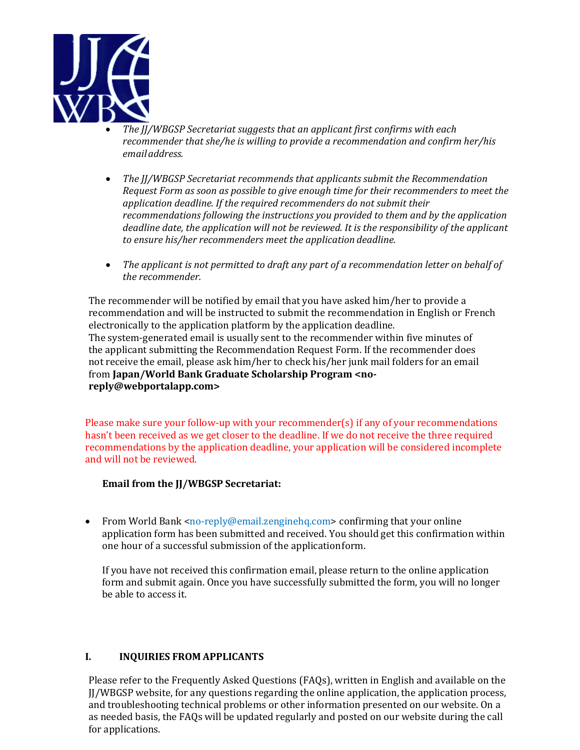

- *The JJ/WBGSP Secretariat suggests that an applicant first confirms with each recommender that she/he is willing to provide a recommendation and confirm her/his emailaddress.*
- *The JJ/WBGSP Secretariat recommends that applicants submit the Recommendation Request Form as soon as possible to give enough time for their recommenders to meet the application deadline. If the required recommenders do not submit their recommendations following the instructions you provided to them and by the application deadline date, the application will not be reviewed. It is the responsibility of the applicant to ensure his/her recommenders meet the application deadline.*
- *The applicant is not permitted to draft any part of a recommendation letter on behalf of the recommender.*

The recommender will be notified by email that you have asked him/her to provide a recommendation and will be instructed to submit the recommendation in English or French electronically to the application platform by the application deadline. The system-generated email is usually sent to the recommender within five minutes of the applicant submitting the Recommendation Request Form. If the recommender does not receive the email, please ask him/her to check his/her junk mail folders for an email from **Japan/World Bank Graduate Scholarship Program <noreply@webportalapp.com>**

Please make sure your follow-up with your recommender(s) if any of your recommendations hasn't been received as we get closer to the deadline. If we do not receive the three required recommendations by the application deadline, your application will be considered incomplete and will not be reviewed.

### **Email from the JJ/WBGSP Secretariat:**

• From World Bank <no-reply@email.zenginehq.com> confirming that your online application form has been submitted and received. You should get this confirmation within one hour of a successful submission of the applicationform.

If you have not received this confirmation email, please return to the online application form and submit again. Once you have successfully submitted the form, you will no longer be able to access it.

### **I. INQUIRIES FROM APPLICANTS**

Please refer to the Frequently Asked Questions (FAQs), written in English and available on the JJ/WBGSP website, for any questions regarding the online application, the application process, and troubleshooting technical problems or other information presented on our website. On a as needed basis, the FAQs will be updated regularly and posted on our website during the call for applications.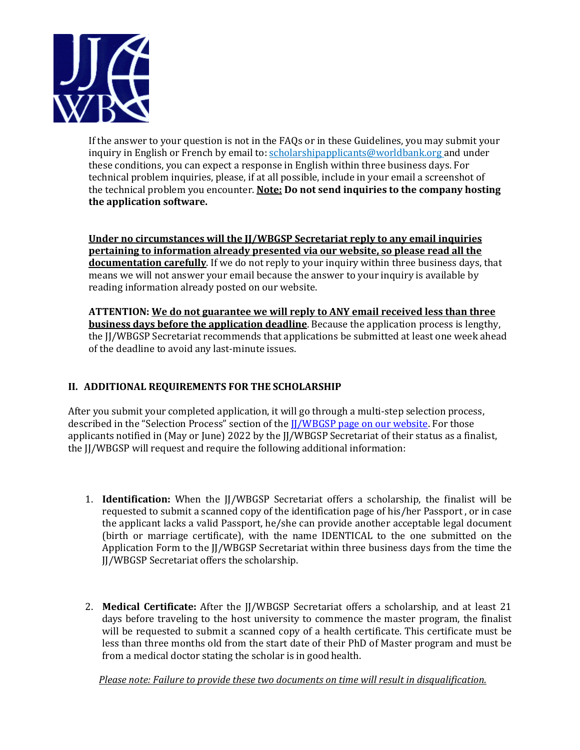

If the answer to your question is not in the FAQs or in these Guidelines, you may submit your inquiry in English or French by email to[: scholarshipapplicants@worldbank.org a](mailto:scholarshipapplicants@worldbank.org)nd under these conditions, you can expect a response in English within three business days. For technical problem inquiries, please, if at all possible, include in your email a screenshot of the technical problem you encounter. **Note: Do not send inquiries to the company hosting the application software.**

**Under no circumstances will the JJ/WBGSP Secretariat reply to any email inquiries pertaining to information already presented via our website, so please read all the documentation carefully**. If we do not reply to your inquiry within three business days, that means we will not answer your email because the answer to your inquiry is available by reading information already posted on our website.

**ATTENTION: We do not guarantee we will reply to ANY email received less than three business days before the application deadline**. Because the application process is lengthy, the JJ/WBGSP Secretariat recommends that applications be submitted at least one week ahead of the deadline to avoid any last-minute issues.

# **II. ADDITIONAL REQUIREMENTS FOR THE SCHOLARSHIP**

After you submit your completed application, it will go through a multi-step selection process, described in the "Selection Process" section of the [JJ/WBGSP page on our website.](https://www.worldbank.org/en/programs/scholarships#3) For those applicants notified in (May or June) 2022 by the JJ/WBGSP Secretariat of their status as a finalist, the JJ/WBGSP will request and require the following additional information:

- 1. **Identification:** When the JJ/WBGSP Secretariat offers a scholarship, the finalist will be requested to submit a scanned copy of the identification page of his/her Passport , or in case the applicant lacks a valid Passport, he/she can provide another acceptable legal document (birth or marriage certificate), with the name IDENTICAL to the one submitted on the Application Form to the JJ/WBGSP Secretariat within three business days from the time the JJ/WBGSP Secretariat offers the scholarship.
- 2. **Medical Certificate:** After the JJ/WBGSP Secretariat offers a scholarship, and at least 21 days before traveling to the host university to commence the master program, the finalist will be requested to submit a scanned copy of a health certificate. This certificate must be less than three months old from the start date of their PhD of Master program and must be from a medical doctor stating the scholar is in good health.

*Please note: Failure to provide these two documents on time will result in disqualification.*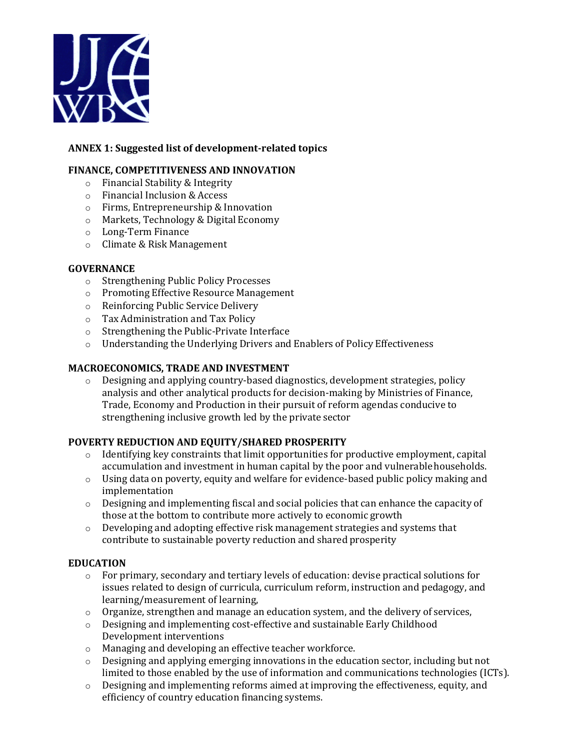

# **ANNEX 1: Suggested list of development-related topics**

### **FINANCE, COMPETITIVENESS AND INNOVATION**

- o Financial Stability & Integrity
- o Financial Inclusion & Access
- o Firms, Entrepreneurship & Innovation
- o Markets, Technology & Digital Economy
- o Long-Term Finance
- o Climate & Risk Management

### **GOVERNANCE**

- o [Strengthening Public Policy](https://worldbankgroup.sharepoint.com/sites/Governance/Pages/pc/Foundations-and-Frontiers/Strengthening-Public-Policy-Processes-06012018-161316.aspx) Processes
- o [Promoting Effective Resource](https://worldbankgroup.sharepoint.com/sites/Governance/Pages/pc/Foundations-and-Frontiers/Promoting-Effective-Resource-Management-06012018-161734.aspx) Management
- o [Reinforcing Public Service](https://worldbankgroup.sharepoint.com/sites/Governance/Pages/pc/Foundations-and-Frontiers/Reinforcing-Public-Service-Delivery-06012018-163608.aspx) Delivery
- o Tax Administration and Tax Policy
- o [Strengthening the Public-Private](https://worldbankgroup.sharepoint.com/sites/Governance/Pages/pc/Foundations-and-Frontiers/Strengthening-the-PublicPrivate-Interface-06012018-164213.aspx) Interface
- o [Understanding the Underlying Drivers and Enablers of Policy](https://worldbankgroup.sharepoint.com/sites/Governance/Pages/pc/Foundations-and-Frontiers/Understanding-the-Underlying-Drivers-and-Enablers-of-Policy-Effectiveness-06012018-164454.aspx) Effectiveness

### **MACROECONOMICS, TRADE AND INVESTMENT**

o Designing and applying country-based diagnostics, development strategies, policy analysis and other analytical products for decision-making by Ministries of Finance, Trade, Economy and Production in their pursuit of reform agendas conducive to strengthening inclusive growth led by the private sector

### **POVERTY REDUCTION AND EQUITY/SHARED PROSPERITY**

- $\circ$  Identifying key constraints that limit opportunities for productive employment, capital accumulation and investment in human capital by the poor and vulnerablehouseholds.
- o Using data on poverty, equity and welfare for evidence-based public policy making and implementation
- $\circ$  Designing and implementing fiscal and social policies that can enhance the capacity of those at the bottom to contribute more actively to economic growth
- $\circ$  Developing and adopting effective risk management strategies and systems that contribute to sustainable poverty reduction and shared prosperity

#### **EDUCATION**

- $\circ$  For primary, secondary and tertiary levels of education: devise practical solutions for issues related to design of curricula, curriculum reform, instruction and pedagogy, and learning/measurement of learning,
- $\circ$  Organize, strengthen and manage an education system, and the delivery of services,
- o Designing and implementing cost-effective and sustainable Early Childhood Development interventions
- o Managing and developing an effective teacher workforce.
- o Designing and applying emerging innovations in the education sector, including but not limited to those enabled by the use of information and communications technologies (ICTs).
- $\circ$  Designing and implementing reforms aimed at improving the effectiveness, equity, and efficiency of country education financing systems.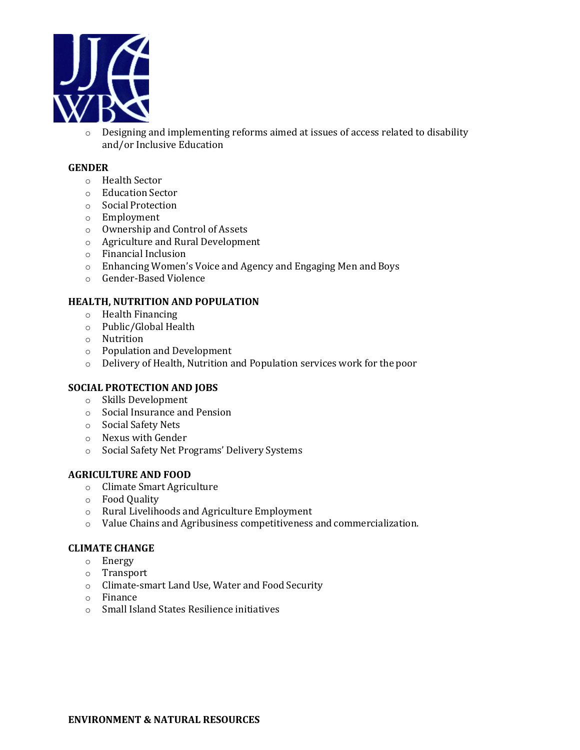

o Designing and implementing reforms aimed at issues of access related to disability and/or Inclusive Education

#### **GENDER**

- o Health Sector
- o Education Sector
- o Social Protection
- o Employment
- o Ownership and Control of Assets
- o Agriculture and Rural Development
- o Financial Inclusion
- o Enhancing Women's Voice and Agency and Engaging Men and Boys
- o Gender-Based Violence

#### **HEALTH, NUTRITION AND POPULATION**

- o [Health Financing](https://worldbankgroup.sharepoint.com/sites/gsg/Financing/Pages/Home.aspx)
- o Public/Global [Health](https://worldbankgroup.sharepoint.com/sites/gsg/HealthySocieties/Pages/Home.aspx)
- o [Nutrition](https://worldbankgroup.sharepoint.com/sites/gsg/Nutrition/Pages/Home.aspx)
- o [Population and](https://worldbankgroup.sharepoint.com/sites/gsg/PopulationDevelopment/Pages/Home.aspx) Development
- o [Delivery o](https://worldbankgroup.sharepoint.com/sites/gsg/ServiceDelivery/Pages/Home.aspx)f Health, Nutrition and Population services work for the poor

### **SOCIAL PROTECTION AND JOBS**

- o Skills Development
- o Social Insurance and Pension
- o Social Safety Nets
- o Nexus with Gender
- o Social Safety Net Programs' Delivery Systems

### **AGRICULTURE AND FOOD**

- o Climate Smart Agriculture
- o Food Quality
- o Rural Livelihoods and Agriculture Employment
- o Value Chains and Agribusiness competitiveness and commercialization.

#### **CLIMATE CHANGE**

- o Energy
- o Transport
- o Climate-smart Land Use, Water and Food Security
- o Finance
- o Small Island States Resilience initiatives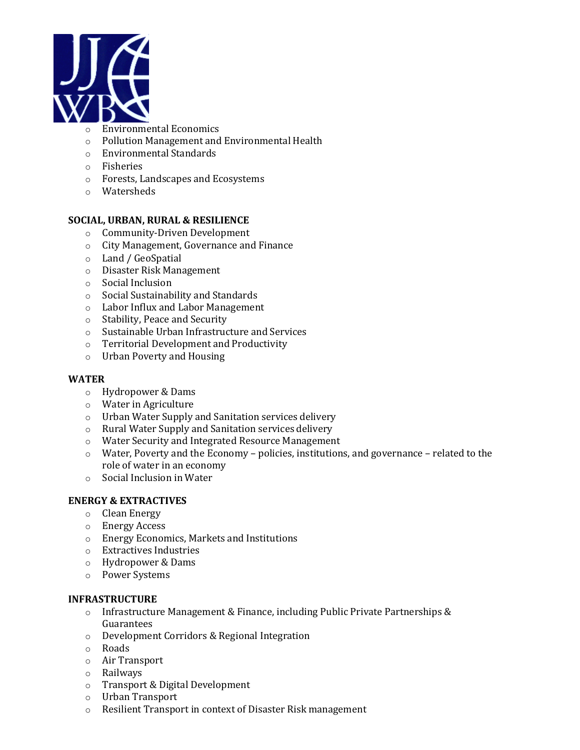

- o Environmental Economics
- o Pollution Management and Environmental Health
- o Environmental Standards
- o Fisheries
- o Forests, Landscapes and Ecosystems
- o Watersheds

### **SOCIAL, URBAN, RURAL & RESILIENCE**

- o Community-Driven Development
- o City Management, Governance and Finance
- o Land / GeoSpatial
- o Disaster Risk Management
- o Social Inclusion
- o Social Sustainability and Standards
- o Labor Influx and Labor Management
- o Stability, Peace and Security
- o Sustainable Urban Infrastructure and Services
- o Territorial Development and Productivity
- o Urban Poverty and Housing

#### **WATER**

- o Hydropower & Dams
- o Water in Agriculture
- o Urban Water Supply and Sanitation services delivery
- o Rural Water Supply and Sanitation services delivery
- o Water Security and Integrated Resource Management
- o Water, Poverty and the Economy policies, institutions, and governance related to the role of water in an economy
- o Social Inclusion in Water

#### **ENERGY & EXTRACTIVES**

- o Clean Energy
- o Energy Access
- o Energy Economics, Markets and Institutions
- o Extractives Industries
- o Hydropower & Dams
- o Power Systems

#### **INFRASTRUCTURE**

- $\circ$  Infrastructure Management & Finance, including Public Private Partnerships & Guarantees
- o Development Corridors & Regional Integration
- o Roads
- o Air Transport
- o Railways
- o Transport & Digital Development
- o Urban Transport
- o Resilient Transport in context of Disaster Risk management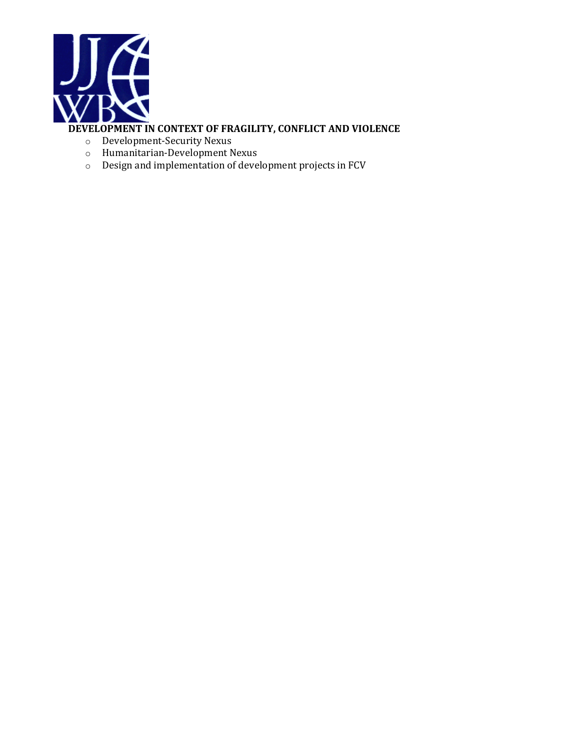

# **DEVELOPMENT IN CONTEXT OF FRAGILITY, CONFLICT AND VIOLENCE**

- o Development-Security Nexus
- o Humanitarian-Development Nexus
- o Design and implementation of development projects in FCV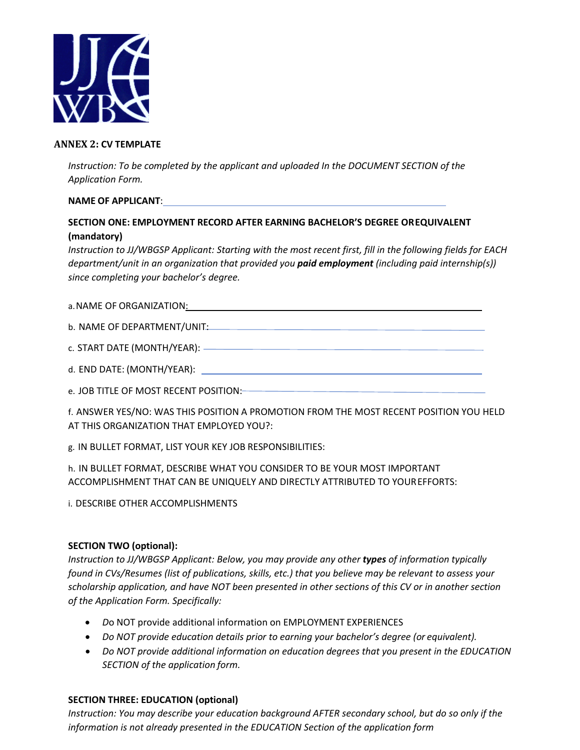

#### **ANNEX 2: CV TEMPLATE**

*Instruction: To be completed by the applicant and uploaded In the DOCUMENT SECTION of the Application Form.*

### **NAME OF APPLICANT**:

# **SECTION ONE: EMPLOYMENT RECORD AFTER EARNING BACHELOR'S DEGREE OREQUIVALENT (mandatory)**

*Instruction to JJ/WBGSP Applicant: Starting with the most recent first, fill in the following fields for EACH department/unit in an organization that provided you paid employment (including paid internship(s)) since completing your bachelor's degree.* 

#### a. NAME OF ORGANIZATION: www.astronometer.com/

b. NAME OF DEPARTMENT/UNIT:

c. START DATE (MONTH/YEAR):

d. END DATE: (MONTH/YEAR):

e. JOB TITLE OF MOST RECENT POSITION:

f. ANSWER YES/NO: WAS THIS POSITION A PROMOTION FROM THE MOST RECENT POSITION YOU HELD AT THIS ORGANIZATION THAT EMPLOYED YOU?:

g. IN BULLET FORMAT, LIST YOUR KEY JOB RESPONSIBILITIES:

h. IN BULLET FORMAT, DESCRIBE WHAT YOU CONSIDER TO BE YOUR MOST IMPORTANT ACCOMPLISHMENT THAT CAN BE UNIQUELY AND DIRECTLY ATTRIBUTED TO YOUREFFORTS:

i. DESCRIBE OTHER ACCOMPLISHMENTS

### **SECTION TWO (optional):**

*Instruction to JJ/WBGSP Applicant: Below, you may provide any other types of information typically found in CVs/Resumes (list of publications, skills, etc.) that you believe may be relevant to assess your scholarship application, and have NOT been presented in other sections of this CV or in another section of the Application Form. Specifically:*

- *D*o NOT provide additional information on EMPLOYMENT EXPERIENCES
- *Do NOT provide education details prior to earning your bachelor's degree (or equivalent).*
- *Do NOT provide additional information on education degrees that you present in the EDUCATION SECTION of the application form.*

### **SECTION THREE: EDUCATION (optional)**

*Instruction: You may describe your education background AFTER secondary school, but do so only if the information is not already presented in the EDUCATION Section of the application form*